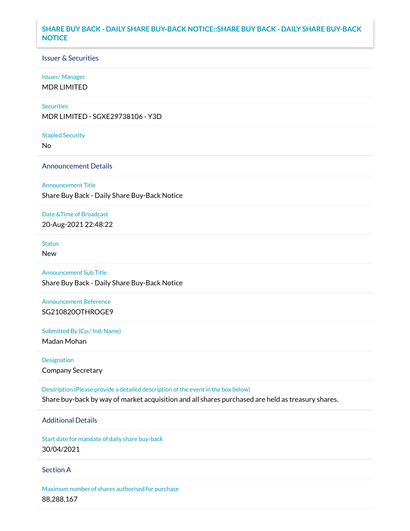# **SHARE BUY BACK - DAILY SHARE BUY-BACK NOTICE::SHARE BUY BACK - DAILY SHARE BUY-BACK NOTICE**

#### Issuer & Securities

#### Issuer/ Manager

MDR LIMITED

#### **Securities**

MDR LIMITED - SGXE29738106 - Y3D

#### Stapled Security

No

#### Announcement Details

#### Announcement Title

Share Buy Back - Daily Share Buy-Back Notice

#### Date &Time of Broadcast

20-Aug-2021 22:48:22

# **Status**

New

# Announcement Sub Title

Share Buy Back - Daily Share Buy-Back Notice

## Announcement Reference SG210820OTHROGE9

Submitted By (Co./ Ind. Name)

Madan Mohan

# Designation Company Secretary

Description (Please provide a detailed description of the event in the box below) Share buy-back by way of market acquisition and all shares purchased are held as treasury shares.

## Additional Details

Start date for mandate of daily share buy-back 30/04/2021

#### Section A

Maximum number of shares authorised for purchase 88,288,167